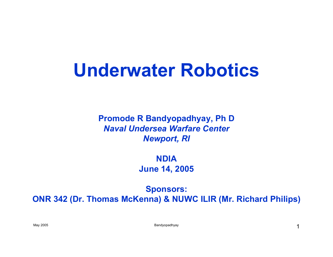#### **Underwater Robotics**

**Promode R Bandyopadhyay, Ph D** *Naval Undersea Warfare CenterNewport, RI*

> **NDIAJune 14, 2005**

**Sponsors: ONR 342 (Dr. Thomas McKenna) & NUWC ILIR (Mr. Richard Philips)**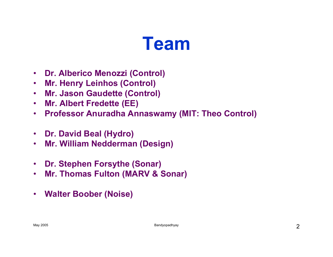#### **Team**

- $\bullet$ **Dr. Alberico Menozzi (Control)**
- $\bullet$ **Mr. Henry Leinhos (Control)**
- $\bullet$ **Mr. Jason Gaudette (Control)**
- $\bullet$ **Mr. Albert Fredette (EE)**
- $\bullet$ **Professor Anuradha Annaswamy (MIT: Theo Control)**
- $\bullet$ **Dr. David Beal (Hydro)**
- $\bullet$ **Mr. William Nedderman (Design)**
- $\bullet$ **Dr. Stephen Forsythe (Sonar)**
- $\bullet$ **Mr. Thomas Fulton (MARV & Sonar)**
- $\bullet$ **Walter Boober (Noise)**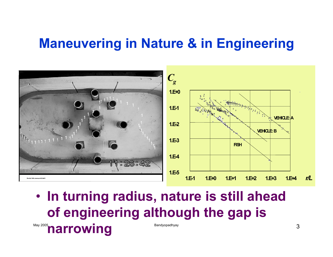#### **Maneuvering in Nature & in Engineering**



May 2005 **narrowing** Bandyopadhyay • **In turning radius, nature is still ahead of engineering although the gap is**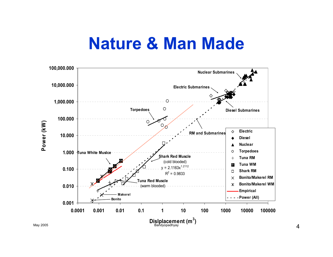#### **Nature & Man Made**

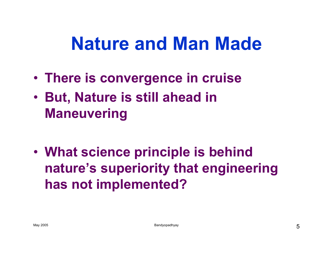## **Nature and Man Made**

- **There is convergence in cruise**
- **But, Nature is still ahead in Maneuvering**

• **What science principle is behind nature's superiority that engineering has not implemented?**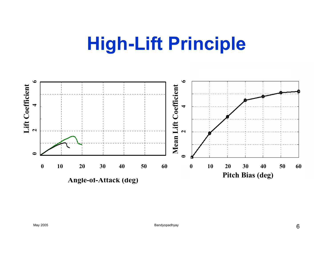## **High-Lift Principle**

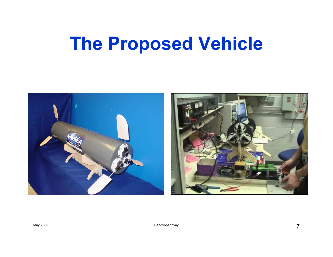## **The Proposed Vehicle**



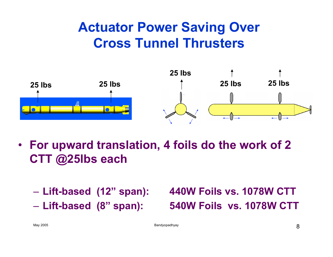#### **Actuator Power Saving Over Cross Tunnel Thrusters**



- **For upward translation, 4 foils do the work of 2 CTT @25lbs each**
	-
	- Lift-based (8" span):

 **Lift-based (12" span): 440W Foils vs. 1078W CTT Lift-based (8" span): 540W Foils vs. 1078W CTT**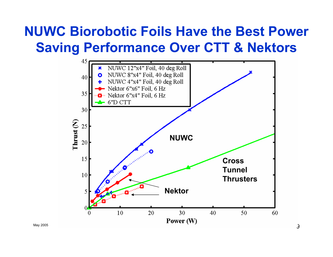#### **NUWC Biorobotic Foils Have the Best Power Saving Performance Over CTT & Nektors**

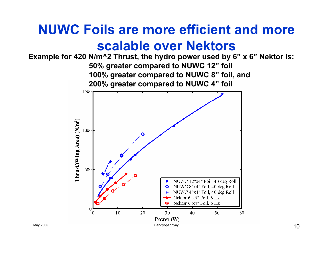#### **NUWC Foils are more efficient and more scalable over Nektors**

**Example for 420 N/m^2 Thrust, the hydro power used by 6" x 6" Nektor is: 50% greater compared to NUWC 12" foil 100% greater compared to NUWC 8" foil, and 200% greater compared to NUWC 4" foil**

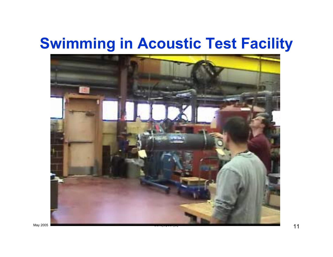#### **Swimming in Acoustic Test Facility**

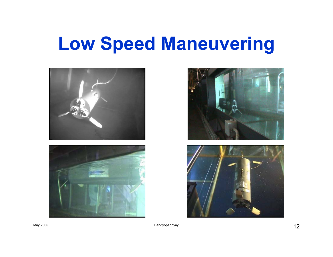## **Low Speed Maneuvering**







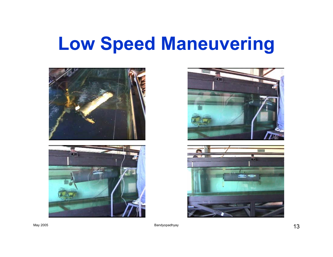## **Low Speed Maneuvering**







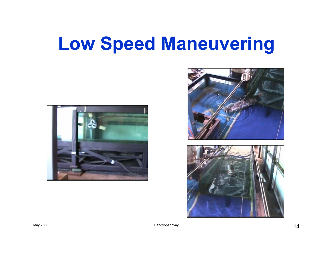## **Low Speed Maneuvering**





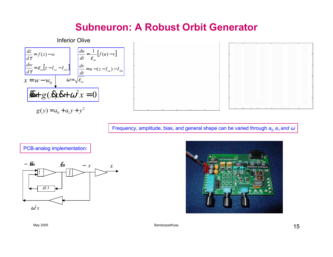#### **Subneuron: A Robust Orbit Generator**



Frequency, amplitude, bias, and general shape can be varied through  $\bm s_{0,}$   $\bm s_{1}$  and  $\omega$ 

#### PCB-analog implementation:



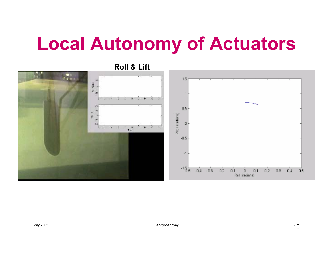## **Local Autonomy of Actuators**



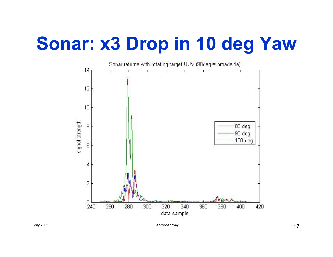# **Sonar: x3 Drop in 10 deg Yaw**

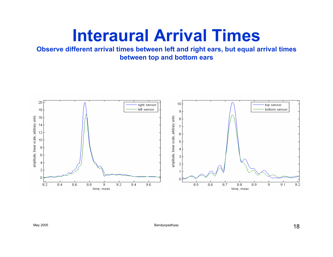#### **Interaural Arrival Times**

**Observe different arrival times between left and right ears, but equal arrival times between top and bottom ears**

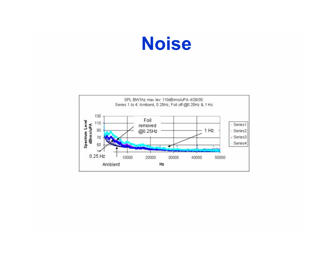

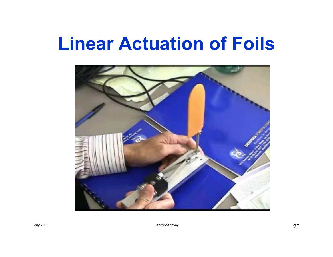#### **Linear Actuation of Foils**